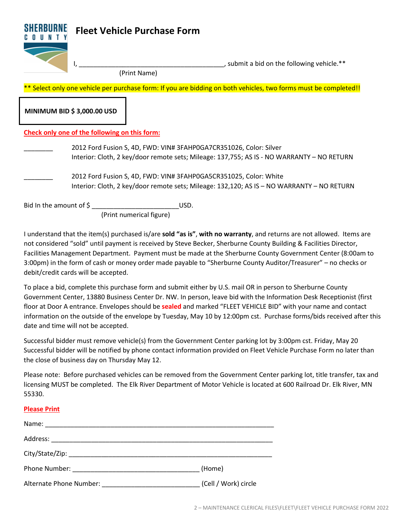## **Fleet Vehicle Purchase Form**



I, All and the following vehicle.\*\*

(Print Name)

\*\* Select only one vehicle per purchase form: If you are bidding on both vehicles, two forms must be completed!!

**MINIMUM BID \$ 3,000.00 USD**

## **Check only one of the following on this form:**

- 2012 Ford Fusion S, 4D, FWD: VIN# 3FAHP0GA7CR351026, Color: Silver Interior: Cloth, 2 key/door remote sets; Mileage: 137,755; AS IS - NO WARRANTY – NO RETURN
- \_\_\_\_\_\_\_\_ 2012 Ford Fusion S, 4D, FWD: VIN# 3FAHP0GA5CR351025, Color: White Interior: Cloth, 2 key/door remote sets; Mileage: 132,120; AS IS – NO WARRANTY – NO RETURN

Bid In the amount of  $\oint$ 

(Print numerical figure)

I understand that the item(s) purchased is/are **sold "as is"**, **with no warranty**, and returns are not allowed. Items are not considered "sold" until payment is received by Steve Becker, Sherburne County Building & Facilities Director, Facilities Management Department. Payment must be made at the Sherburne County Government Center (8:00am to 3:00pm) in the form of cash or money order made payable to "Sherburne County Auditor/Treasurer" – no checks or debit/credit cards will be accepted.

To place a bid, complete this purchase form and submit either by U.S. mail OR in person to Sherburne County Government Center, 13880 Business Center Dr. NW. In person, leave bid with the Information Desk Receptionist (first floor at Door A entrance. Envelopes should be **sealed** and marked "FLEET VEHICLE BID" with your name and contact information on the outside of the envelope by Tuesday, May 10 by 12:00pm cst. Purchase forms/bids received after this date and time will not be accepted.

Successful bidder must remove vehicle(s) from the Government Center parking lot by 3:00pm cst. Friday, May 20 Successful bidder will be notified by phone contact information provided on Fleet Vehicle Purchase Form no later than the close of business day on Thursday May 12.

Please note: Before purchased vehicles can be removed from the Government Center parking lot, title transfer, tax and licensing MUST be completed. The Elk River Department of Motor Vehicle is located at 600 Railroad Dr. Elk River, MN 55330.

## **Please Print**

|                         | (Home)                 |
|-------------------------|------------------------|
| Alternate Phone Number: | _ (Cell / Work) circle |